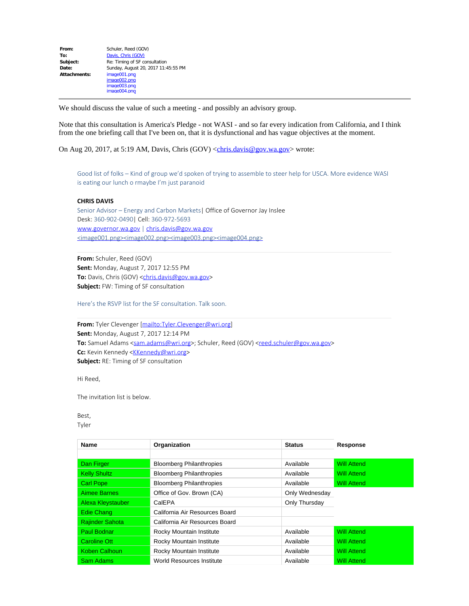| From:        | Schuler, Reed (GOV)                 |  |  |
|--------------|-------------------------------------|--|--|
| To:          | Davis, Chris (GOV)                  |  |  |
| Subject:     | Re: Timing of SF consultation       |  |  |
| Date:        | Sunday, August 20, 2017 11:45:55 PM |  |  |
| Attachments: | image001.png                        |  |  |
|              | image002.png                        |  |  |
|              | image003.png                        |  |  |
|              | image004.png                        |  |  |

We should discuss the value of such a meeting - and possibly an advisory group.

Note that this consultation is America's Pledge - not WASI - and so far every indication from California, and I think from the one briefing call that I've been on, that it is dysfunctional and has vague objectives at the moment.

On Aug 20, 2017, at 5:19 AM, Davis, Chris  $(GOV) \leq \frac{chris.davis@gov.wa.gov}{cm}$  wrote:

Good list of folks – Kind of group we'd spoken of trying to assemble to steer help for USCA. More evidence WASI is eating our lunch o rmaybe I'm just paranoid

## **CHRIS DAVIS**

Senior Advisor – Energy and Carbon Markets| Office of Governor Jay Inslee Desk: 360-902-0490| Cell: 360-972-5693 [www.governor.wa.gov](http://www.governor.wa.gov/) | [chris.davis@gov.wa.gov](mailto:chris.davis@gov.wa.gov) [<image001.png>](https://www.facebook.com/WaStateGov)[<image002.png>](https://twitter.com/GovInslee)[<image003.png>](https://www.flickr.com/photos/govinslee/sets)[<image004.png>](http://instagram.com/govinslee)

**From:** Schuler, Reed (GOV) **Sent:** Monday, August 7, 2017 12:55 PM To: Davis, Chris (GOV) [<chris.davis@gov.wa.gov](mailto:chris.davis@gov.wa.gov)> **Subject:** FW: Timing of SF consultation

Here's the RSVP list for the SF consultation. Talk soon.

**From:** Tyler Clevenger [<mailto:Tyler.Clevenger@wri.org>] **Sent:** Monday, August 7, 2017 12:14 PM **To:** Samuel Adams [<sam.adams@wri.org](mailto:sam.adams@wri.org)>; Schuler, Reed (GOV) [<reed.schuler@gov.wa.gov](mailto:reed.schuler@gov.wa.gov)> Cc: Kevin Kennedy <**[KKennedy@wri.org](mailto:KKennedy@wri.org)> Subject:** RE: Timing of SF consultation

Hi Reed,

The invitation list is below.

Best, Tyler

| <b>Name</b>            | Organization                     | <b>Status</b>  | <b>Response</b>    |
|------------------------|----------------------------------|----------------|--------------------|
|                        |                                  |                |                    |
| Dan Firger             | <b>Bloomberg Philanthropies</b>  | Available      | <b>Will Attend</b> |
| <b>Kelly Shultz</b>    | <b>Bloomberg Philanthropies</b>  | Available      | <b>Will Attend</b> |
| <b>Carl Pope</b>       | <b>Bloomberg Philanthropies</b>  | Available      | <b>Will Attend</b> |
| <b>Aimee Barnes</b>    | Office of Gov. Brown (CA)        | Only Wednesday |                    |
| Alexa Kleystauber      | CalEPA                           | Only Thursday  |                    |
| Edie Chang             | California Air Resources Board   |                |                    |
| <b>Rajinder Sahota</b> | California Air Resources Board   |                |                    |
| Paul Bodnar            | Rocky Mountain Institute         | Available      | <b>Will Attend</b> |
| Caroline Ott           | Rocky Mountain Institute         | Available      | <b>Will Attend</b> |
| <b>Koben Calhoun</b>   | Rocky Mountain Institute         | Available      | <b>Will Attend</b> |
| Sam Adams              | <b>World Resources Institute</b> | Available      | <b>Will Attend</b> |